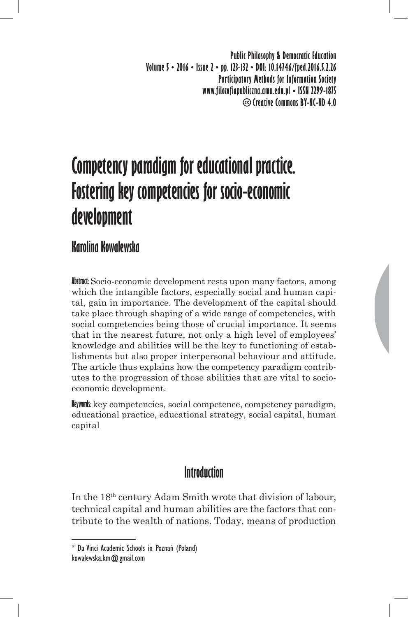**Public Philosophy & Democratic Education Volume 5 • 2016 • Issue 2 • pp. 123-132 • DOI: 10.14746/fped.2016.5.2.26 Participatory Methods for Information Society www.filozofiapubliczna.amu.edu.pl • ISSN 2299-1875 Creative Commons BY-NC-ND 4.0**

# **Competency paradigm for educational practice. Fostering key competencies for socio-economic development**

# **Karolina Kowalewska**

**Abstract:** Socio-economic development rests upon many factors, among which the intangible factors, especially social and human capital, gain in importance. The development of the capital should take place through shaping of a wide range of competencies, with social competencies being those of crucial importance. It seems that in the nearest future, not only a high level of employees' knowledge and abilities will be the key to functioning of establishments but also proper interpersonal behaviour and attitude. The article thus explains how the competency paradigm contributes to the progression of those abilities that are vital to socioeconomic development.

**Keywords:** key competencies, social competence, competency paradigm, educational practice, educational strategy, social capital, human capital

## **Introduction**

In the 18th century Adam Smith wrote that division of labour, technical capital and human abilities are the factors that contribute to the wealth of nations. Today, means of production

<sup>\*</sup> Da Vinci Academic Schools in Poznań (Poland) kowalewska.km@gmail.com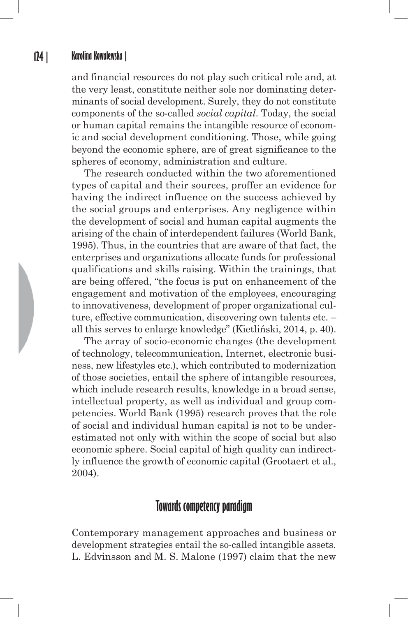and financial resources do not play such critical role and, at the very least, constitute neither sole nor dominating determinants of social development. Surely, they do not constitute components of the so-called *social capital*. Today, the social or human capital remains the intangible resource of economic and social development conditioning. Those, while going beyond the economic sphere, are of great significance to the spheres of economy, administration and culture.

The research conducted within the two aforementioned types of capital and their sources, proffer an evidence for having the indirect influence on the success achieved by the social groups and enterprises. Any negligence within the development of social and human capital augments the arising of the chain of interdependent failures (World Bank, 1995). Thus, in the countries that are aware of that fact, the enterprises and organizations allocate funds for professional qualifications and skills raising. Within the trainings, that are being offered, "the focus is put on enhancement of the engagement and motivation of the employees, encouraging to innovativeness, development of proper organizational culture, effective communication, discovering own talents etc. – all this serves to enlarge knowledge" (Kietliński, 2014, p. 40).

The array of socio-economic changes (the development of technology, telecommunication, Internet, electronic business, new lifestyles etc.), which contributed to modernization of those societies, entail the sphere of intangible resources, which include research results, knowledge in a broad sense, intellectual property, as well as individual and group competencies. World Bank (1995) research proves that the role of social and individual human capital is not to be underestimated not only with within the scope of social but also economic sphere. Social capital of high quality can indirectly influence the growth of economic capital (Grootaert et al., 2004).

## **Towards competency paradigm**

Contemporary management approaches and business or development strategies entail the so-called intangible assets. L. Edvinsson and M. S. Malone (1997) claim that the new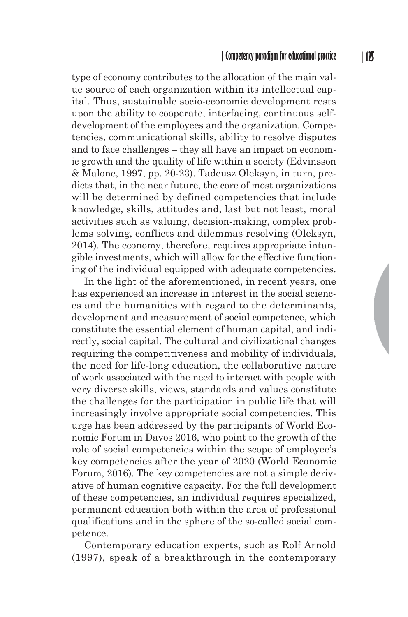type of economy contributes to the allocation of the main value source of each organization within its intellectual capital. Thus, sustainable socio-economic development rests upon the ability to cooperate, interfacing, continuous selfdevelopment of the employees and the organization. Competencies, communicational skills, ability to resolve disputes and to face challenges – they all have an impact on economic growth and the quality of life within a society (Edvinsson & Malone, 1997, pp. 20-23). Tadeusz Oleksyn, in turn, predicts that, in the near future, the core of most organizations will be determined by defined competencies that include knowledge, skills, attitudes and, last but not least, moral activities such as valuing, decision-making, complex problems solving, conflicts and dilemmas resolving (Oleksyn, 2014). The economy, therefore, requires appropriate intangible investments, which will allow for the effective functioning of the individual equipped with adequate competencies.

In the light of the aforementioned, in recent years, one has experienced an increase in interest in the social sciences and the humanities with regard to the determinants, development and measurement of social competence, which constitute the essential element of human capital, and indirectly, social capital. The cultural and civilizational changes requiring the competitiveness and mobility of individuals, the need for life-long education, the collaborative nature of work associated with the need to interact with people with very diverse skills, views, standards and values constitute the challenges for the participation in public life that will increasingly involve appropriate social competencies. This urge has been addressed by the participants of World Economic Forum in Davos 2016, who point to the growth of the role of social competencies within the scope of employee's key competencies after the year of 2020 (World Economic Forum, 2016). The key competencies are not a simple derivative of human cognitive capacity. For the full development of these competencies, an individual requires specialized, permanent education both within the area of professional qualifications and in the sphere of the so-called social competence.

Contemporary education experts, such as Rolf Arnold (1997), speak of a breakthrough in the contemporary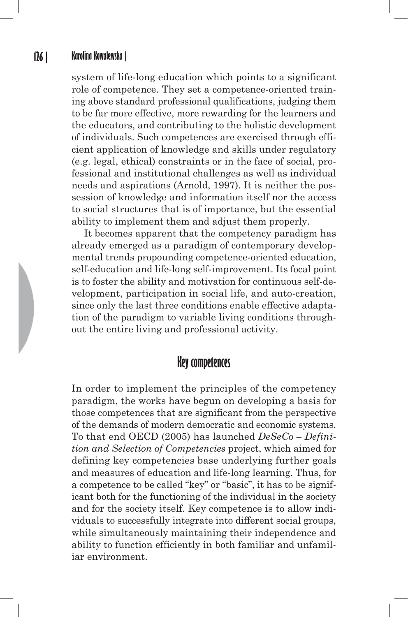#### **126 | Karolina Kowalewska |**

system of life-long education which points to a significant role of competence. They set a competence-oriented training above standard professional qualifications, judging them to be far more effective, more rewarding for the learners and the educators, and contributing to the holistic development of individuals. Such competences are exercised through efficient application of knowledge and skills under regulatory (e.g. legal, ethical) constraints or in the face of social, professional and institutional challenges as well as individual needs and aspirations (Arnold, 1997). It is neither the possession of knowledge and information itself nor the access to social structures that is of importance, but the essential ability to implement them and adjust them properly.

It becomes apparent that the competency paradigm has already emerged as a paradigm of contemporary developmental trends propounding competence-oriented education, self-education and life-long self-improvement. Its focal point is to foster the ability and motivation for continuous self-development, participation in social life, and auto-creation, since only the last three conditions enable effective adaptation of the paradigm to variable living conditions throughout the entire living and professional activity.

### **Key competences**

In order to implement the principles of the competency paradigm, the works have begun on developing a basis for those competences that are significant from the perspective of the demands of modern democratic and economic systems. To that end OECD (2005) has launched *DeSeCo – Definition and Selection of Competencies* project, which aimed for defining key competencies base underlying further goals and measures of education and life-long learning. Thus, for a competence to be called "key" or "basic", it has to be significant both for the functioning of the individual in the society and for the society itself. Key competence is to allow individuals to successfully integrate into different social groups, while simultaneously maintaining their independence and ability to function efficiently in both familiar and unfamiliar environment.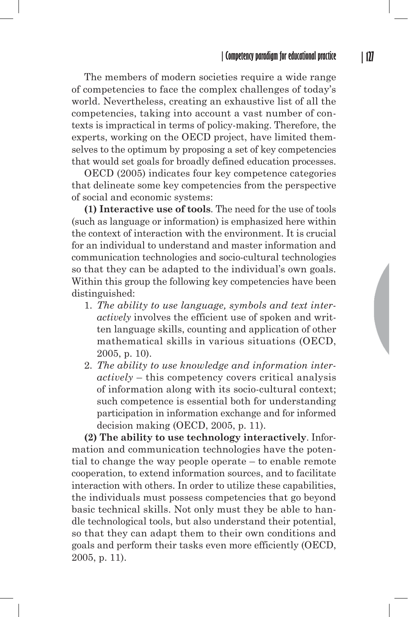The members of modern societies require a wide range of competencies to face the complex challenges of today's world. Nevertheless, creating an exhaustive list of all the competencies, taking into account a vast number of contexts is impractical in terms of policy-making. Therefore, the experts, working on the OECD project, have limited themselves to the optimum by proposing a set of key competencies that would set goals for broadly defined education processes.

OECD (2005) indicates four key competence categories that delineate some key competencies from the perspective of social and economic systems:

**(1) Interactive use of tools**. The need for the use of tools (such as language or information) is emphasized here within the context of interaction with the environment. It is crucial for an individual to understand and master information and communication technologies and socio-cultural technologies so that they can be adapted to the individual's own goals. Within this group the following key competencies have been distinguished:

- 1. *The ability to use language, symbols and text interactively* involves the efficient use of spoken and written language skills, counting and application of other mathematical skills in various situations (OECD, 2005, p. 10).
- 2. *The ability to use knowledge and information interactively* – this competency covers critical analysis of information along with its socio-cultural context; such competence is essential both for understanding participation in information exchange and for informed decision making (OECD, 2005, p. 11).

**(2) The ability to use technology interactively**. Information and communication technologies have the potential to change the way people operate – to enable remote cooperation, to extend information sources, and to facilitate interaction with others. In order to utilize these capabilities, the individuals must possess competencies that go beyond basic technical skills. Not only must they be able to handle technological tools, but also understand their potential, so that they can adapt them to their own conditions and goals and perform their tasks even more efficiently (OECD, 2005, p. 11).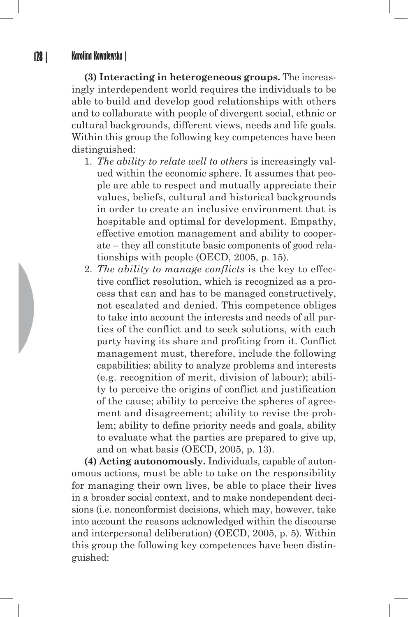**(3) Interacting in heterogeneous groups.** The increasingly interdependent world requires the individuals to be able to build and develop good relationships with others and to collaborate with people of divergent social, ethnic or cultural backgrounds, different views, needs and life goals. Within this group the following key competences have been distinguished:

- 1. *The ability to relate well to others* is increasingly valued within the economic sphere. It assumes that people are able to respect and mutually appreciate their values, beliefs, cultural and historical backgrounds in order to create an inclusive environment that is hospitable and optimal for development. Empathy, effective emotion management and ability to cooperate – they all constitute basic components of good relationships with people (OECD, 2005, p. 15).
- 2. *The ability to manage conflicts* is the key to effective conflict resolution, which is recognized as a process that can and has to be managed constructively, not escalated and denied. This competence obliges to take into account the interests and needs of all parties of the conflict and to seek solutions, with each party having its share and profiting from it. Conflict management must, therefore, include the following capabilities: ability to analyze problems and interests (e.g. recognition of merit, division of labour); ability to perceive the origins of conflict and justification of the cause; ability to perceive the spheres of agreement and disagreement; ability to revise the problem; ability to define priority needs and goals, ability to evaluate what the parties are prepared to give up, and on what basis (OECD, 2005, p. 13).

**(4) Acting autonomously.** Individuals, capable of autonomous actions, must be able to take on the responsibility for managing their own lives, be able to place their lives in a broader social context, and to make nondependent decisions (i.e. nonconformist decisions, which may, however, take into account the reasons acknowledged within the discourse and interpersonal deliberation) (OECD, 2005, p. 5). Within this group the following key competences have been distinguished: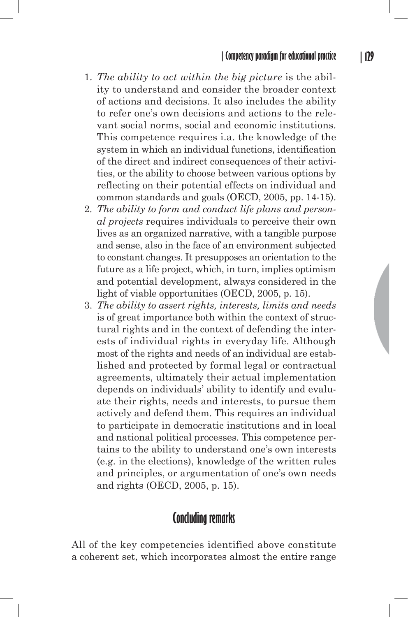- 1. *The ability to act within the big picture* is the ability to understand and consider the broader context of actions and decisions. It also includes the ability to refer one's own decisions and actions to the relevant social norms, social and economic institutions. This competence requires i.a. the knowledge of the system in which an individual functions, identification of the direct and indirect consequences of their activities, or the ability to choose between various options by reflecting on their potential effects on individual and common standards and goals (OECD, 2005, pp. 14-15).
- 2. *The ability to form and conduct life plans and personal projects* requires individuals to perceive their own lives as an organized narrative, with a tangible purpose and sense, also in the face of an environment subjected to constant changes. It presupposes an orientation to the future as a life project, which, in turn, implies optimism and potential development, always considered in the light of viable opportunities (OECD, 2005, p. 15).
- 3. *The ability to assert rights, interests, limits and needs* is of great importance both within the context of structural rights and in the context of defending the interests of individual rights in everyday life. Although most of the rights and needs of an individual are established and protected by formal legal or contractual agreements, ultimately their actual implementation depends on individuals' ability to identify and evaluate their rights, needs and interests, to pursue them actively and defend them. This requires an individual to participate in democratic institutions and in local and national political processes. This competence pertains to the ability to understand one's own interests (e.g. in the elections), knowledge of the written rules and principles, or argumentation of one's own needs and rights (OECD, 2005, p. 15).

## **Concluding remarks**

All of the key competencies identified above constitute a coherent set, which incorporates almost the entire range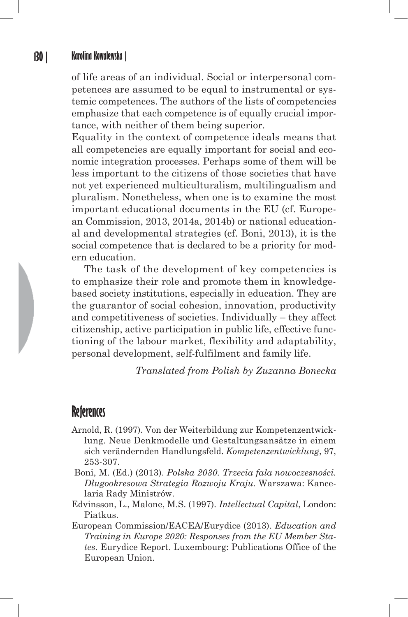#### **130 | Karolina Kowalewska |**

of life areas of an individual. Social or interpersonal competences are assumed to be equal to instrumental or systemic competences. The authors of the lists of competencies emphasize that each competence is of equally crucial importance, with neither of them being superior.

Equality in the context of competence ideals means that all competencies are equally important for social and economic integration processes. Perhaps some of them will be less important to the citizens of those societies that have not yet experienced multiculturalism, multilingualism and pluralism. Nonetheless, when one is to examine the most important educational documents in the EU (cf. European Commission, 2013, 2014a, 2014b) or national educational and developmental strategies (cf. Boni, 2013), it is the social competence that is declared to be a priority for modern education.

The task of the development of key competencies is to emphasize their role and promote them in knowledgebased society institutions, especially in education. They are the guarantor of social cohesion, innovation, productivity and competitiveness of societies. Individually – they affect citizenship, active participation in public life, effective functioning of the labour market, flexibility and adaptability, personal development, self-fulfilment and family life.

*Translated from Polish by Zuzanna Bonecka*

## **References**

- Arnold, R. (1997). Von der Weiterbildung zur Kompetenzentwicklung. Neue Denkmodelle und Gestaltungsansätze in einem sich verändernden Handlungsfeld. *Kompetenzentwicklung*, 97, 253-307.
- Boni, M. (Ed.) (2013). *Polska 2030. Trzecia fala nowoczesności. Długookresowa Strategia Rozwoju Kraju.* Warszawa: Kancelaria Rady Ministrów.
- Edvinsson, L., Malone, M.S. (1997). *Intellectual Capital*, London: Piatkus.
- European Commission/EACEA/Eurydice (2013). *Education and Training in Europe 2020: Responses from the EU Member States.* Eurydice Report. Luxembourg: Publications Office of the European Union.